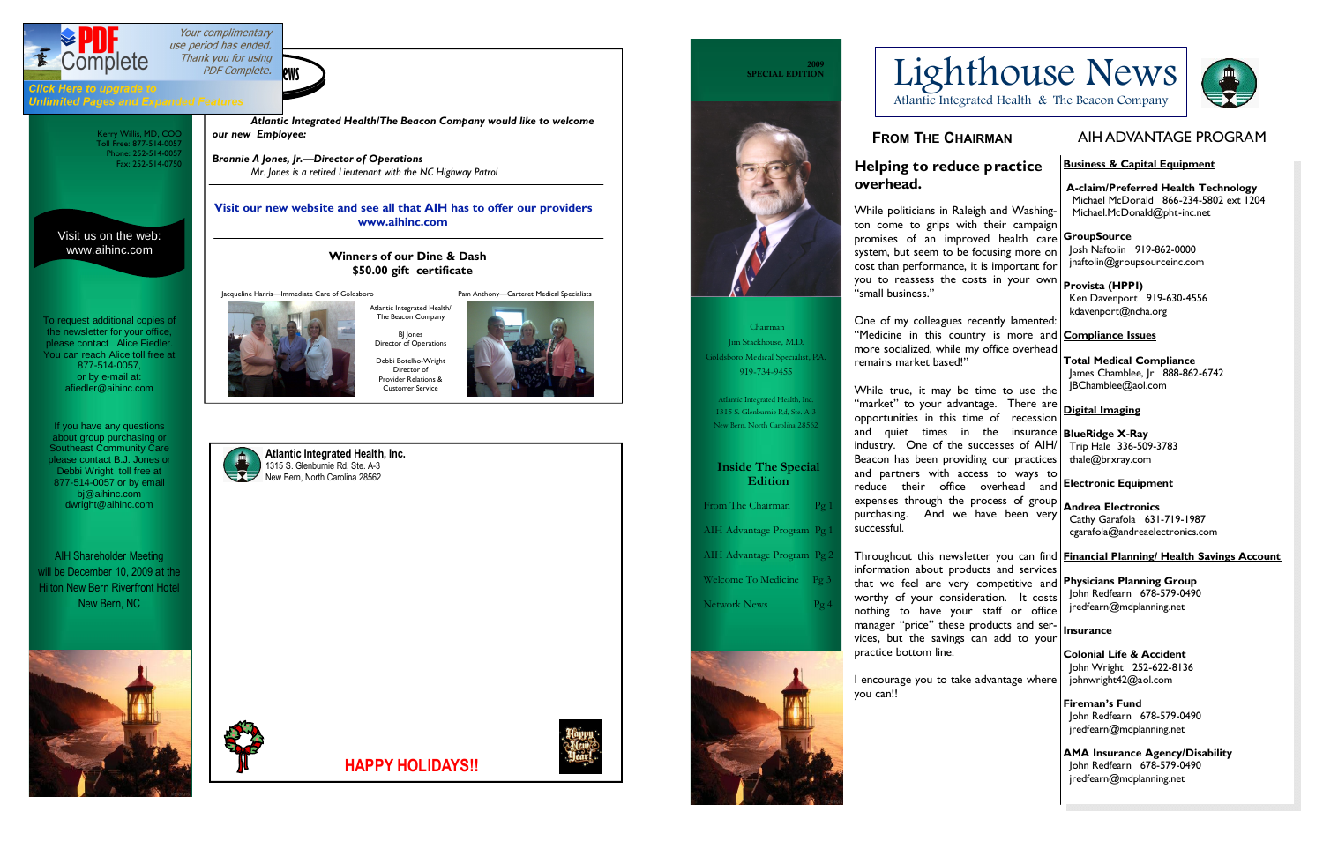Kerry Willis, MD, COO Toll Free: 877-514-0057 Phone: 252-514-0057 Fax: 252-514-0750



Your complimentary use period has ended. Thank you for using **PDF** Complete. **ews** 2009



Click Here to upgrade to **Unlimited Pages and Expanded Features** 

> Visit us on the web: www.aihinc.com





**HAPPY HOLIDAYS!!**



**SPECIAL EDITION** 



AIH Shareholder Meeting ill be December 10, 2009 at the Hilton New Bern Riverfront Hotel New Bern, NC



To request additional copies of the newsletter for your office, please contact Alice Fiedler. You can reach Alice toll free at 877-514-0057, or by e-mail at: afiedler@aihinc.com

*Atlantic Integrated Health/The Beacon Company would like to welcome our new Employee:*

*Bronnie A Jones, Jr.—Director of Operations Mr. Jones is a retired Lieutenant with the NC Highway Patrol*

> **Winners of our Dine & Dash \$50.00 gift certificate**

### **Visit our new website and see all that AIH has to offer our providers www.aihinc.com**

If you have any questions about group purchasing or Southeast Community Care please contact B.J. Jones or Debbi Wright toll free at 877-514-0057 or by email bj@aihinc.com dwright@aihinc.com

Jacqueline Harris—Immediate Care of Goldsboro Pam Anthony—Carteret Medical Specialists



The Beacon Company BJ Jones Director of Operations Debbi Botelho-Wright Director of Provider Relations & Customer Service

 **A-claim/Preferred Health Technology** Michael McDonald 866-234-5802 ext 1204 Michael.McDonald@pht-inc.net

**FROM THE CHAIRMAN**

# **Helping to reduce practice overhead.**

While politicians in Raleigh and Washington come to grips with their campaign promises of an improved health care **GroupSource** system, but seem to be focusing more on cost than performance, it is important for you to reassess the costs in your own "small business."

One of my colleagues recently lamented: "Medicine in this country is more and **Compliance Issues** more socialized, while my office overhead remains market based!"

While true, it may be time to use the "market" to your advantage. There are opportunities in this time of recession and quiet times in the insurance **BlueRidge X-Ray** industry. One of the successes of AIH/ Beacon has been providing our practices and partners with access to ways to reduce their office overhead and expenses through the process of group purchasing. And we have been very successful. **Digital Imaging** Trip Hale 336-509-3783 thale@brxray.com **Electronic Equipment Andrea Electronics** Cathy Garafola 631-719-1987 cgarafola@andreaelectronics.com

I encourage you to take advantage where you can!!

# Lighthouse News



# **Business & Capital Equipment**

# Josh Naftolin 919-862-0000 jnaftolin@groupsourceinc.com

Throughout this newsletter you can find **Financial Planning/ Health Savings Account** information about products and services that we feel are very competitive and **Physicians Planning Group** worthy of your consideration. It costs nothing to have your staff or office manager "price" these products and services, but the savings can add to your practice bottom line. John Redfearn 678-579-0490 jredfearn@mdplanning.net **Insurance Colonial Life & Accident**

**Provista (HPPI)** Ken Davenport 919-630-4556 kdavenport@ncha.org

**Total Medical Compliance** James Chamblee, Jr 888-862-6742 JBChamblee@aol.com

 John Wright 252-622-8136 johnwright42@aol.com

**Fireman's Fund** John Redfearn 678-579-0490 jredfearn@mdplanning.net

**AMA Insurance Agency/Disability** John Redfearn 678-579-0490 jredfearn@mdplanning.net

Atlantic Integrated Health & The Beacon Company

 Chairman Jim Stackhouse, M.D. Goldsboro Medical Specialist, P.A. 919-734-9455

Atlantic Integrated Health, Inc. 1315 S. Glenburnie Rd, Ste. A-3 New Bern, North Carolina 28562

**Inside The Special Edition**

From The Chairman

AIH Advantage Program Pg 1

AIH Advantage Program Pg 2

Welcome To Medicine Pg 3

Network News





# AIH ADVANTAGE PROGRAM